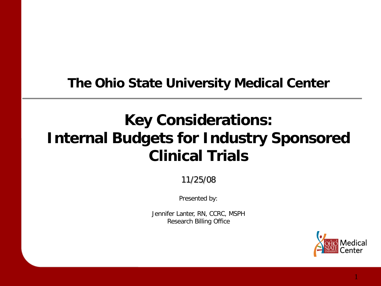#### **The Ohio State University Medical Center**

### **Key Considerations: Internal Budgets for Industry Sponsored Clinical Trials**

11/25/08

Presented by:

Jennifer Lanter, RN, CCRC, MSPH Research Billing Office

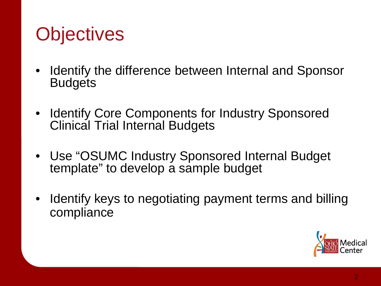# **Objectives**

- Identify the difference between Internal and Sponsor **Budgets**
- Identify Core Components for Industry Sponsored Clinical Trial Internal Budgets
- Use "OSUMC Industry Sponsored Internal Budget template" to develop a sample budget
- Identify keys to negotiating payment terms and billing compliance

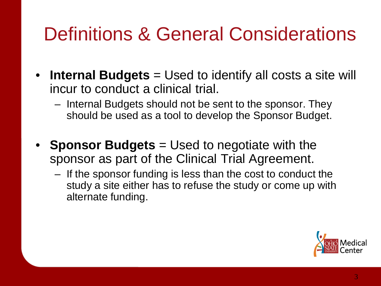### Definitions & General Considerations

- **Internal Budgets** = Used to identify all costs a site will incur to conduct a clinical trial.
	- Internal Budgets should not be sent to the sponsor. They should be used as a tool to develop the Sponsor Budget.
- **Sponsor Budgets** = Used to negotiate with the sponsor as part of the Clinical Trial Agreement.
	- If the sponsor funding is less than the cost to conduct the study a site either has to refuse the study or come up with alternate funding.

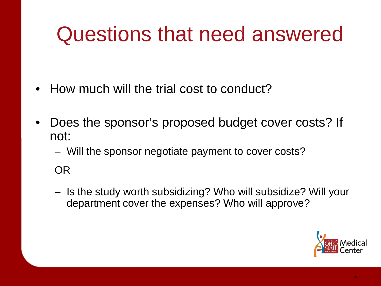# Questions that need answered

- How much will the trial cost to conduct?
- Does the sponsor's proposed budget cover costs? If not:
	- Will the sponsor negotiate payment to cover costs?

OR

– Is the study worth subsidizing? Who will subsidize? Will your department cover the expenses? Who will approve?

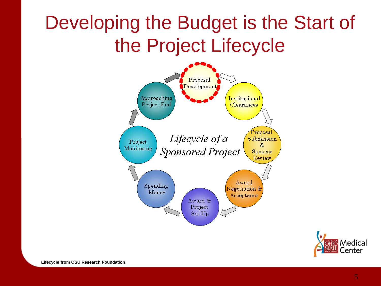# Developing the Budget is the Start of the Project Lifecycle





**Lifecycle from OSU Research Foundation**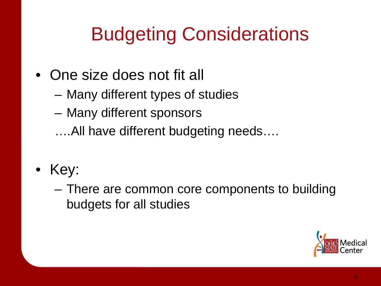# Budgeting Considerations

- One size does not fit all
	- Many different types of studies
	- Many different sponsors
	- ….All have different budgeting needs….
- Key:
	- There are common core components to building budgets for all studies

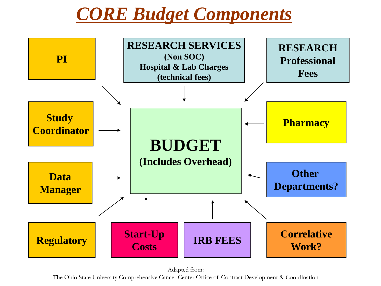### *CORE Budget Components*



Adapted from: The Ohio State University Comprehensive Cancer Center Office of Contract Development & Coordination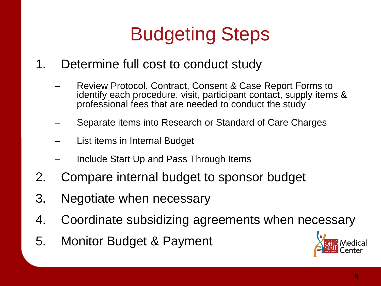# Budgeting Steps

- 1. Determine full cost to conduct study
	- Review Protocol, Contract, Consent & Case Report Forms to identify each procedure, visit, participant contact, supply items & professional fees that are needed to conduct the study
	- Separate items into Research or Standard of Care Charges
	- List items in Internal Budget
	- Include Start Up and Pass Through Items
- 2. Compare internal budget to sponsor budget
- 3. Negotiate when necessary
- 4. Coordinate subsidizing agreements when necessary
- 5. Monitor Budget & Payment

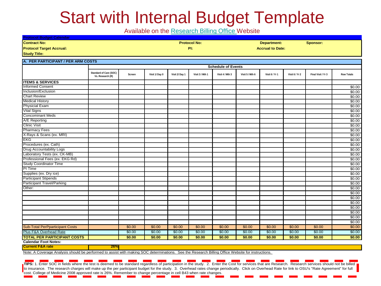### Start with Internal Budget Template

#### Available on the [Research Billing Office](http://www.medctr.ohio-state.edu/Research/ResearchBilling.aspx) Website

| <b>Protocol Budget Calendar</b>                                                 |                                            |        |                                                                                                |                |                     |                           |                 |                         |                |                    |                   |
|---------------------------------------------------------------------------------|--------------------------------------------|--------|------------------------------------------------------------------------------------------------|----------------|---------------------|---------------------------|-----------------|-------------------------|----------------|--------------------|-------------------|
| <b>Contract No:</b>                                                             |                                            |        |                                                                                                |                | <b>Protocol No:</b> |                           |                 | <b>Department:</b>      |                | Sponsor:           |                   |
| <b>Protocol Target Accrual:</b>                                                 |                                            |        |                                                                                                |                | PI:                 |                           |                 | <b>Accrual to Date:</b> |                |                    |                   |
| <b>Study Title:</b>                                                             |                                            |        |                                                                                                |                |                     |                           |                 |                         |                |                    |                   |
| A. PER PARTICIPANT / PER ARM COSTS                                              |                                            |        |                                                                                                |                |                     |                           |                 |                         |                |                    |                   |
|                                                                                 |                                            |        |                                                                                                |                |                     | <b>Schedule of Events</b> |                 |                         |                |                    |                   |
|                                                                                 | Standard of Care (SOC)<br>Vs. Research (R) | Screen | Visit 1/ Day 0                                                                                 | Visit 2/ Day 1 | Visit 3 / Mth 1     | Visit 4 / Mth 3           | Visit 5 / Mth 6 | Visit 6 / Yr 1          | Visit 6 / Yr 2 | Final Visit / Yr 3 | <b>Row Totals</b> |
| <b>ITEMS &amp; SERVICES</b>                                                     |                                            |        |                                                                                                |                |                     |                           |                 |                         |                |                    |                   |
| <b>Informed Consent</b>                                                         |                                            |        |                                                                                                |                |                     |                           |                 |                         |                |                    | \$0.00            |
| Inclusion/Exclusion                                                             |                                            |        |                                                                                                |                |                     |                           |                 |                         |                |                    | \$0.00            |
| <b>Chart Review</b>                                                             |                                            |        |                                                                                                |                |                     |                           |                 |                         |                |                    | \$0.00            |
| <b>Medical History</b>                                                          |                                            |        |                                                                                                |                |                     |                           |                 |                         |                |                    | \$0.00            |
| <b>Physicial Exam</b>                                                           |                                            |        |                                                                                                |                |                     |                           |                 |                         |                |                    | \$0.00            |
| <b>Vital Signs</b>                                                              |                                            |        |                                                                                                |                |                     |                           |                 |                         |                |                    | \$0.00            |
| <b>Concominant Meds</b>                                                         |                                            |        |                                                                                                |                |                     |                           |                 |                         |                |                    | \$0.00            |
| A/E Reporting                                                                   |                                            |        |                                                                                                |                |                     |                           |                 |                         |                |                    | \$0.00            |
| <b>Clinic Visit</b>                                                             |                                            |        |                                                                                                |                |                     |                           |                 |                         |                |                    | \$0.00            |
| <b>Pharmacy Fees</b>                                                            |                                            |        |                                                                                                |                |                     |                           |                 |                         |                |                    | \$0.00            |
| X-Rays & Scans (ex. MRI)                                                        |                                            |        |                                                                                                |                |                     |                           |                 |                         |                |                    | \$0.00            |
| EKG                                                                             |                                            |        |                                                                                                |                |                     |                           |                 |                         |                |                    | \$0.00            |
| Procedures (ex. Cath)                                                           |                                            |        |                                                                                                |                |                     |                           |                 |                         |                |                    | \$0.00            |
| Drug Accountability Logs                                                        |                                            |        |                                                                                                |                |                     |                           |                 |                         |                |                    | \$0.00            |
| Laboratory Tests (ex. CK-MB)                                                    |                                            |        |                                                                                                |                |                     |                           |                 |                         |                |                    | \$0.00            |
| Professional Fees (ex. EKG Rd)                                                  |                                            |        |                                                                                                |                |                     |                           |                 |                         |                |                    | \$0.00            |
| <b>Study Coordinator Time</b>                                                   |                                            |        |                                                                                                |                |                     |                           |                 |                         |                |                    | \$0.00            |
| PI Time                                                                         |                                            |        |                                                                                                |                |                     |                           |                 |                         |                |                    | \$0.00            |
| Supplies (ex. Dry ice)                                                          |                                            |        |                                                                                                |                |                     |                           |                 |                         |                |                    | \$0.00            |
| <b>Participant Stipends</b>                                                     |                                            |        |                                                                                                |                |                     |                           |                 |                         |                |                    | \$0.00            |
| <b>Participant Travel/Parking</b>                                               |                                            |        |                                                                                                |                |                     |                           |                 |                         |                |                    | \$0.00            |
| Other:                                                                          |                                            |        |                                                                                                |                |                     |                           |                 |                         |                |                    | \$0.00            |
|                                                                                 |                                            |        |                                                                                                |                |                     |                           |                 |                         |                |                    | \$0.00            |
|                                                                                 |                                            |        |                                                                                                |                |                     |                           |                 |                         |                |                    | \$0.00            |
|                                                                                 |                                            |        |                                                                                                |                |                     |                           |                 |                         |                |                    | \$0.00            |
|                                                                                 |                                            |        |                                                                                                |                |                     |                           |                 |                         |                |                    | \$0.00            |
|                                                                                 |                                            |        |                                                                                                |                |                     |                           |                 |                         |                |                    | \$0.00            |
|                                                                                 |                                            |        |                                                                                                |                |                     |                           |                 |                         |                |                    | \$0.00            |
|                                                                                 |                                            |        |                                                                                                |                |                     |                           |                 |                         |                |                    | \$0.00            |
| <b>Sub-Total PerPparticipant Costs</b>                                          |                                            | \$0.00 | \$0.00                                                                                         | \$0.00         | \$0.00              | \$0.00                    | \$0.00          | \$0.00                  | \$0.00         | \$0.00             | \$0.00            |
| Plus F&A Overhead Rate                                                          |                                            | \$0.00 | \$0.00                                                                                         | \$0.00         | \$0.00              | \$0.00                    | \$0.00          | \$0.00                  | \$0.00         | \$0.00             | \$0.00            |
| <b>TOTAL PER PARTICIPANT COSTS</b>                                              |                                            | \$0.00 | \$0.00                                                                                         | \$0.00         | \$0.00              | \$0.00                    | \$0.00          | \$0.00                  | \$0.00         | \$0.00             | \$0.00            |
| <b>Calendar Foot Notes:</b>                                                     |                                            |        |                                                                                                |                |                     |                           |                 |                         |                |                    |                   |
| <b>Current F&amp;A rate</b><br>Note: A Coverage Apolygie abould be performed to | <b>267</b>                                 |        | positivity making SOC determinations. See the Bessersh Billing Office Website for instructions |                |                     |                           |                 |                         |                |                    |                   |

Note: A Coverage Analysis should be performed to assist with making SOC determinations. See the Research Billing Office Website for instructions.

TIPS: 1. Enter SOC in fields where the test is deemed to be standard regardless of participation in the study. 2. Enter the Cost for services that are Research. Research services should not be billed to insurance. The research charges will make up the per participant budget for the study. 3. Overhead rates change periodically. Click on Overhead Rate for link to OSU's "Rate Agreement" for full cost. College of Medicine 2008 approved rate is 26%. Remember to change percentage in cell B43 when rate changes.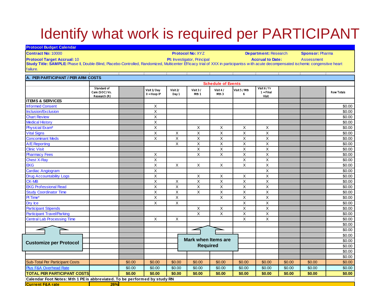#### Identify what work is required per PARTICIPANT

| <b>Protocol Budget Calendar</b>                                                                                                                                                                 |                                |        |                               |                         |                                    |                              |                    |                         |        |                        |                   |
|-------------------------------------------------------------------------------------------------------------------------------------------------------------------------------------------------|--------------------------------|--------|-------------------------------|-------------------------|------------------------------------|------------------------------|--------------------|-------------------------|--------|------------------------|-------------------|
| <b>Contract No: 10000</b>                                                                                                                                                                       |                                |        |                               |                         | <b>Protocol No: XYZ</b>            |                              |                    | Department: Research    |        | <b>Sponsor: Pharma</b> |                   |
| <b>Protocol Target Accrual: 10</b>                                                                                                                                                              |                                |        |                               |                         | <b>PI:</b> Investigator, Principal |                              |                    | <b>Accrual to Date:</b> |        | <b>Assessment</b>      |                   |
| Study Title: SAMPLE: Phase II, Double-Blind, Placebo-Controlled, Randomized, Multicenter Efficacy trial of XXX in participantss with acute decompensated ischemic congenstive heart<br>failure. |                                |        |                               |                         |                                    |                              |                    |                         |        |                        |                   |
| A. PER PARTICIPANT / PER ARM COSTS                                                                                                                                                              |                                |        |                               |                         |                                    |                              |                    |                         |        |                        |                   |
|                                                                                                                                                                                                 |                                |        |                               |                         |                                    |                              |                    |                         |        |                        |                   |
|                                                                                                                                                                                                 | Standard of                    |        |                               |                         |                                    | <b>Schedule of Events</b>    |                    | Visit 6 / Yr            |        |                        |                   |
|                                                                                                                                                                                                 | Care (SOC) Vs.<br>Research (R) |        | Visit 1/ Day<br>$0 =$ Hosp IP | Visit 2/<br>Day 1       | Visit $3/$<br>Mth 1                | Visit 4/<br>Mth <sub>3</sub> | Visit 5 / Mth<br>6 | $1$ = Final<br>Visit    |        |                        | <b>Row Totals</b> |
| <b>ITEMS &amp; SERVICES</b>                                                                                                                                                                     |                                |        |                               |                         |                                    |                              |                    |                         |        |                        |                   |
| <b>Informed Consent</b>                                                                                                                                                                         |                                |        | X                             |                         |                                    |                              |                    |                         |        |                        | \$0.00            |
| <b>Inclusion/Exclusion</b>                                                                                                                                                                      |                                |        | $\times$                      |                         |                                    |                              |                    |                         |        |                        | \$0.00            |
| <b>Chart Review</b>                                                                                                                                                                             |                                |        | X                             |                         |                                    |                              |                    |                         |        |                        | \$0.00            |
| <b>Medical History</b>                                                                                                                                                                          |                                |        | X                             |                         |                                    |                              |                    |                         |        |                        | \$0.00            |
| Physicial Exam*                                                                                                                                                                                 |                                |        | $\mathsf{X}$                  |                         | X                                  | X                            | X                  | X                       |        |                        | \$0.00            |
| <b>Vital Signs</b>                                                                                                                                                                              |                                |        | X                             | X                       | X                                  | X                            | $\times$           | X                       |        |                        | \$0.00            |
| <b>Concominant Meds</b>                                                                                                                                                                         |                                |        | X                             | X                       | X                                  | X                            | X                  | X                       |        |                        | \$0.00            |
| <b>A/E</b> Reporting                                                                                                                                                                            |                                |        |                               | X                       | X                                  | $\times$                     | $\times$           | X                       |        |                        | \$0.00            |
| <b>Clinic Visit</b>                                                                                                                                                                             |                                |        |                               |                         | X                                  | $\overline{\mathsf{x}}$      | X                  | X                       |        |                        | \$0.00            |
| <b>Pharmacy Fees</b>                                                                                                                                                                            |                                |        | X                             |                         | X                                  | X                            | X                  | X                       |        |                        | \$0.00            |
| <b>Chest X-Ray</b>                                                                                                                                                                              |                                |        | X                             |                         |                                    |                              | $\times$           | X                       |        |                        | \$0.00            |
| <b>EKG</b>                                                                                                                                                                                      |                                |        | X                             | X                       | X                                  | X                            | X                  | $\sf X$                 |        |                        | \$0.00            |
| Cardiac Angiogram                                                                                                                                                                               |                                |        | X                             |                         |                                    |                              |                    | X                       |        |                        | \$0.00            |
| <b>Drug Accountability Logs</b>                                                                                                                                                                 |                                |        | X                             |                         | X                                  | X                            | Χ                  | X                       |        |                        | \$0.00            |
| <b>CK-MB</b>                                                                                                                                                                                    |                                |        | $\sf X$                       | X                       | X                                  | $\mathsf X$                  | $\times$           | $\mathsf X$             |        |                        | \$0.00            |
| <b>EKG Professional Read</b>                                                                                                                                                                    |                                |        | X                             | Χ                       | X                                  | X                            | $\times$           | X                       |        |                        | \$0.00            |
| <b>Study Coordinator Time</b>                                                                                                                                                                   |                                |        | X                             | X                       | X                                  | X                            | X                  | X                       |        |                        | \$0.00            |
| PI Time*                                                                                                                                                                                        |                                |        | X                             | X                       |                                    | X                            | X                  | X                       |        |                        | \$0.00            |
| Dry Ice                                                                                                                                                                                         |                                |        | $\overline{\mathsf{x}}$       | $\overline{\mathsf{x}}$ |                                    |                              | $\mathsf{X}$       | $\overline{\mathsf{X}}$ |        |                        | \$0.00            |
| <b>Participant Stipends</b>                                                                                                                                                                     |                                |        |                               |                         | X                                  | X                            | X                  | X                       |        |                        | \$0.00            |
| <b>Participant Travel/Parking</b>                                                                                                                                                               |                                |        |                               |                         | X                                  | X                            | X                  | X                       |        |                        | \$0.00            |
| <b>Central Lab Processing Time</b>                                                                                                                                                              |                                |        | X                             | X                       |                                    |                              | $\times$           | X                       |        |                        | \$0.00            |
|                                                                                                                                                                                                 |                                |        |                               |                         |                                    |                              |                    |                         |        |                        | \$0.00            |
|                                                                                                                                                                                                 |                                |        |                               |                         |                                    |                              |                    |                         |        |                        | \$0.00            |
|                                                                                                                                                                                                 |                                |        |                               |                         |                                    |                              |                    |                         |        |                        | \$0.00            |
| <b>Customize per Protocol</b>                                                                                                                                                                   |                                |        |                               |                         | <b>Mark when Items are</b>         |                              |                    |                         |        |                        | \$0.00            |
|                                                                                                                                                                                                 |                                |        |                               |                         | <b>Required</b>                    |                              |                    |                         |        |                        | \$0.00            |
|                                                                                                                                                                                                 |                                |        |                               |                         |                                    |                              |                    |                         |        |                        | \$0.00            |
|                                                                                                                                                                                                 |                                |        |                               |                         |                                    |                              |                    |                         |        |                        | \$0.00            |
| <b>Sub-Total Per Participant Costs</b>                                                                                                                                                          |                                | \$0.00 | \$0.00                        | \$0.00                  | \$0.00                             | \$0.00                       | \$0.00             | \$0.00                  | \$0.00 | \$0.00                 | \$0.00            |
| <b>Plus F&amp;A Overhead Rate</b>                                                                                                                                                               |                                | \$0.00 | \$0.00                        | \$0.00                  | \$0.00                             | \$0.00                       | \$0.00             | \$0.00                  | \$0.00 | \$0.00                 | \$0.00            |
| <b>TOTAL PER PARTICIPANT COSTS</b>                                                                                                                                                              |                                | \$0.00 | \$0.00                        | \$0.00                  | \$0.00                             | \$0.00                       | \$0.00             | \$0.00                  | \$0.00 | \$0.00                 | \$0.00            |
| Calendar Foot Notes: Mth 1 PE is abbreviated. To be performed by study RN                                                                                                                       |                                |        |                               |                         |                                    |                              |                    |                         |        |                        |                   |

**Current F&A rate 26%**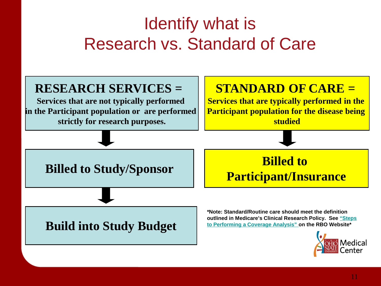### Identify what is Research vs. Standard of Care

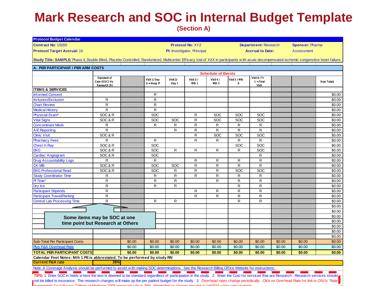#### **Mark Research and SOC in Internal Budget Template**

**(Section A)**

| <b>Protocol Budget Calendar</b>                                                                                                                                                             |                                               |        |                               |                         |                                    |                              |                    |                                      |        |                        |                   |
|---------------------------------------------------------------------------------------------------------------------------------------------------------------------------------------------|-----------------------------------------------|--------|-------------------------------|-------------------------|------------------------------------|------------------------------|--------------------|--------------------------------------|--------|------------------------|-------------------|
| <b>Contract No: 10000</b>                                                                                                                                                                   |                                               |        |                               |                         | <b>Protocol No: XYZ</b>            |                              |                    | <b>Department: Research</b>          |        | <b>Sponsor: Pharma</b> |                   |
| <b>Protocol Target Accrual: 10</b>                                                                                                                                                          |                                               |        |                               |                         | <b>PI:</b> Investigator, Principal |                              |                    | <b>Accrual to Date:</b>              |        | <b>Assessment</b>      |                   |
| Study Title: SAMPLE: Phase II, Double-Blind, Placebo-Controlled, Randomized, Multicenter Efficacy trial of XXX in participants with acute decompensated ischemic congenstive heart failure. |                                               |        |                               |                         |                                    |                              |                    |                                      |        |                        |                   |
| A. PER PARTICIPANT / PER ARM COSTS                                                                                                                                                          |                                               |        |                               |                         |                                    |                              |                    |                                      |        |                        |                   |
|                                                                                                                                                                                             |                                               |        |                               |                         |                                    | <b>Schedule of Events</b>    |                    |                                      |        |                        |                   |
|                                                                                                                                                                                             | Standard of<br>Care (SOC) Vs.<br>Research (R) |        | Visit 1/ Day<br>$0 =$ Hosp IP | Visit 2/<br>Day 1       | Visit $3/$<br>Mth 1                | Visit 4/<br>Mth <sub>3</sub> | Visit 5 / Mth<br>6 | Visit 6 / Yr<br>$1 -$ Final<br>Visit |        |                        | <b>Row Totals</b> |
| <b>ITEMS &amp; SERVICES</b>                                                                                                                                                                 |                                               |        |                               |                         |                                    |                              |                    |                                      |        |                        |                   |
| <b>Informed Consent</b>                                                                                                                                                                     |                                               |        | R                             |                         |                                    |                              |                    |                                      |        |                        | \$0.00            |
| <b>Inclusion/Exclusion</b>                                                                                                                                                                  | R                                             |        | R                             |                         |                                    |                              |                    |                                      |        |                        | \$0.00            |
| <b>Chart Review</b>                                                                                                                                                                         | $\mathsf{R}$                                  |        | $\mathsf{R}$                  |                         |                                    |                              |                    |                                      |        |                        | \$0.00            |
| <b>Medical History</b>                                                                                                                                                                      | $\mathsf{R}$                                  |        | ${\sf R}$                     |                         |                                    |                              |                    |                                      |        |                        | \$0.00            |
| Physicial Exam <sup>*</sup>                                                                                                                                                                 | SOC & R                                       |        | SOC                           |                         | $\mathsf{R}$                       | <b>SOC</b>                   | SOC                | SOC                                  |        |                        | \$0.00            |
| <b>Vital Signs</b>                                                                                                                                                                          | SOC & R                                       |        | SOC                           | SOC                     | $\mathsf{R}$                       | SOC                          | SOC                | SOC                                  |        |                        | \$0.00            |
| <b>Concominant Meds</b>                                                                                                                                                                     | $\mathsf{R}$                                  |        | R                             | R                       | R                                  | R                            | R                  | $\mathsf{R}$                         |        |                        | \$0.00            |
| <b>A/E Reporting</b>                                                                                                                                                                        | $\mathsf{R}$                                  |        |                               | R                       | R                                  | R                            | R                  | $\overline{\mathsf{R}}$              |        |                        | \$0.00            |
| <b>Clinic Visit</b>                                                                                                                                                                         | SOC & R                                       |        |                               |                         | $\mathsf R$                        | SOC                          | SOC                | SOC                                  |        |                        | \$0.00            |
| <b>Pharmacy Fees</b>                                                                                                                                                                        | $\mathsf{R}$                                  |        | R                             |                         | R                                  | R                            | R                  | ${\sf R}$                            |        |                        | \$0.00            |
| <b>Chest X-Ray</b>                                                                                                                                                                          | SOC & R                                       |        | SOC                           |                         |                                    |                              | SOC                | SOC                                  |        |                        | \$0.00            |
| <b>EKG</b>                                                                                                                                                                                  | SOC & R                                       |        | SOC                           | R                       | R                                  | R                            | R                  | SOC                                  |        |                        | \$0.00            |
| Cardiac Angiogram                                                                                                                                                                           | SOC & R<br>R                                  |        | SOC<br>R.                     |                         | R.                                 | R                            | R                  | $\mathsf{R}$<br>${\sf R}$            |        |                        | \$0.00<br>\$0.00  |
| <b>Drug Accountability Logs</b><br><b>CK-MB</b>                                                                                                                                             | SOC & R                                       |        | SOC                           | SOC                     | $\mathsf{R}$                       | R                            | R                  | $\mathsf{R}$                         |        |                        | \$0.00            |
| <b>EKG Professional Read</b>                                                                                                                                                                | SOC & R                                       |        | SOC                           | R                       | R                                  | R                            | SOC                | SOC                                  |        |                        | \$0.00            |
| <b>Study Coordinator Time</b>                                                                                                                                                               | R                                             |        | R                             | R                       | R                                  | R                            | R                  | $\mathsf{R}$                         |        |                        | \$0.00            |
| PI Time*                                                                                                                                                                                    | $\mathsf{R}$                                  |        | $\mathsf{R}$                  | $\overline{\mathsf{R}}$ |                                    | $\overline{R}$               | $\mathsf{R}$       | $\overline{R}$                       |        |                        | \$0.00            |
| Dry Ice                                                                                                                                                                                     | $\mathsf{R}$                                  |        | $\mathsf{R}$                  | R                       |                                    |                              | R                  | $\mathsf{R}$                         |        |                        | \$0.00            |
| <b>Participant Stipends</b>                                                                                                                                                                 | $\mathsf{R}$                                  |        |                               |                         | $\mathsf{R}$                       | R                            | R                  | $\mathsf R$                          |        |                        | \$0.00            |
| <b>Participant Travel/Parking</b>                                                                                                                                                           | $\mathsf{R}$                                  |        |                               |                         | R                                  | R                            | R                  | ${\sf R}$                            |        |                        | \$0.00            |
| <b>Central Lab Processing Time</b>                                                                                                                                                          | R                                             |        | R                             | R.                      |                                    |                              | R                  | $\mathsf{R}$                         |        |                        | \$0.00            |
|                                                                                                                                                                                             |                                               |        |                               |                         |                                    |                              |                    |                                      |        |                        | \$0.00            |
|                                                                                                                                                                                             |                                               |        |                               |                         |                                    |                              |                    |                                      |        |                        | \$0.00            |
|                                                                                                                                                                                             | Some items may be SOC at one                  |        |                               |                         |                                    |                              |                    |                                      |        |                        | \$0.00            |
| time point but Research at Others                                                                                                                                                           |                                               |        |                               |                         |                                    |                              |                    |                                      |        |                        | \$0.00            |
|                                                                                                                                                                                             |                                               |        |                               |                         |                                    |                              |                    |                                      |        |                        | \$0.00            |
|                                                                                                                                                                                             |                                               |        |                               |                         |                                    |                              |                    |                                      |        |                        | \$0.00            |
|                                                                                                                                                                                             |                                               |        |                               |                         |                                    |                              |                    |                                      |        |                        | \$0.00            |
| Sub-Total Per Participant Costs                                                                                                                                                             |                                               | \$0.00 | \$0.00                        | \$0.00                  | \$0.00                             | \$0.00                       | \$0.00             | \$0.00                               | \$0.00 | \$0.00                 | \$0.00            |
| <b>Plus F&amp;A Overhead Rate</b>                                                                                                                                                           |                                               | \$0.00 | \$0.00                        | \$0.00                  | \$0.00                             | \$0.00                       | \$0.00             | \$0.00                               | \$0.00 | \$0.00                 | \$0.00            |
| <b>TOTAL PER PARTICIPANT COSTS</b>                                                                                                                                                          |                                               | \$0.00 | \$0.00                        | \$0.00                  | \$0.00                             | \$0.00                       | \$0.00             | \$0.00                               | \$0.00 | \$0.00                 | \$0.00            |
| Calendar Foot Notes: Mth 1 PE is abbreviated. To be performed by study RN                                                                                                                   |                                               |        |                               |                         |                                    |                              |                    |                                      |        |                        |                   |
| <b>Current F&amp;A rate</b>                                                                                                                                                                 | 26                                            |        |                               |                         |                                    |                              |                    |                                      |        |                        |                   |
| Note: A Coverage Analysis should be performed to assist with making SOC determinations. See the Research Billing Office Website for instructions.                                           |                                               |        |                               |                         |                                    |                              |                    |                                      |        |                        |                   |
| TIPS: 1. Enter SOC in fields where the test is deemed to be standard regardless of participation in the study. 2. Enter the Cost for services that are Research. Research services should   |                                               |        |                               |                         |                                    |                              |                    |                                      |        |                        |                   |
| not be billed to insurance. The research charges will make up the per patient budget for the study. 3. Overhead rates change periodically. Click on Overhead Rate for link to OSU's "Rate"  |                                               |        |                               |                         |                                    |                              |                    |                                      |        |                        |                   |

Agreement" for full cost College of Medicine 2008 approved rate is 26% Remember to change percent in cell B43 w hen rate changes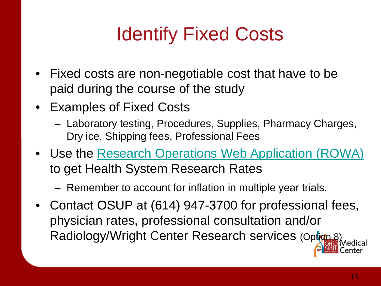### Identify Fixed Costs

- Fixed costs are non-negotiable cost that have to be paid during the course of the study
- Examples of Fixed Costs
	- Laboratory testing, Procedures, Supplies, Pharmacy Charges, Dry ice, Shipping fees, Professional Fees
- Use the [Research Operations Web Application \(ROWA\)](http://wwwow.medctr.ohio-state.edu/Applications/IWTeam/Data_Entry_Forms/CTMS/(hplowdjmc5zvdr3tty3l0f45)/Security/SignIn.aspx)  to get Health System Research Rates
	- Remember to account for inflation in multiple year trials.
- Contact OSUP at (614) 947-3700 for professional fees, physician rates, professional consultation and/or Radiology/Wright Center Research services (Option 8)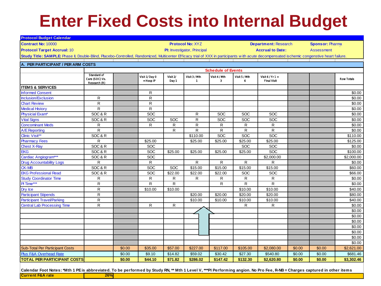### **Enter Fixed Costs into Internal Budget**

| <b>Protocol Budget Calendar</b>                                                                                                                                                             |                                |        |                             |                   |                               |                           |                      |                                        |        |                        |                    |
|---------------------------------------------------------------------------------------------------------------------------------------------------------------------------------------------|--------------------------------|--------|-----------------------------|-------------------|-------------------------------|---------------------------|----------------------|----------------------------------------|--------|------------------------|--------------------|
| <b>Contract No: 10000</b>                                                                                                                                                                   |                                |        |                             |                   | <b>Protocol No: XYZ</b>       |                           |                      | <b>Department: Research</b>            |        | <b>Sponsor: Pharma</b> |                    |
| <b>Protocol Target Accrual: 10</b>                                                                                                                                                          |                                |        |                             |                   | PI: Investigator, Principal   |                           |                      | <b>Accrual to Date:</b>                |        | <b>Assessment</b>      |                    |
| Study Title: SAMPLE: Phase II, Double-Blind, Placebo-Controlled, Randomized, Multicenter Efficacy trial of XXX in participants with acute decompensated ischemic congenstive heart failure. |                                |        |                             |                   |                               |                           |                      |                                        |        |                        |                    |
|                                                                                                                                                                                             |                                |        |                             |                   |                               |                           |                      |                                        |        |                        |                    |
| A. PER PARTICIPANT / PER ARM COSTS                                                                                                                                                          |                                |        |                             |                   |                               |                           |                      |                                        |        |                        |                    |
|                                                                                                                                                                                             | Standard of                    |        |                             |                   |                               | <b>Schedule of Events</b> |                      |                                        |        |                        |                    |
|                                                                                                                                                                                             | Care (SOC) Vs.<br>Research (R) |        | Visit 1/ Day 0<br>= Hosp IP | Visit 2/<br>Day 1 | Visit 3 / Mth<br>$\mathbf{1}$ | Visit 4 / Mth<br>3        | Visit 5 / Mth<br>6   | Visit 6 / Yr 1 =<br><b>Final Visit</b> |        |                        | <b>Row Totals</b>  |
| <b>ITEMS &amp; SERVICES</b>                                                                                                                                                                 |                                |        |                             |                   |                               |                           |                      |                                        |        |                        |                    |
| <b>Informed Consent</b>                                                                                                                                                                     |                                |        | R                           |                   |                               |                           |                      |                                        |        |                        | \$0.00             |
| <b>Inclusion/Exclusion</b>                                                                                                                                                                  | R                              |        | R                           |                   |                               |                           |                      |                                        |        |                        | \$0.00             |
| <b>Chart Review</b>                                                                                                                                                                         | $\mathsf{R}$                   |        | $\mathsf{R}$                |                   |                               |                           |                      |                                        |        |                        | \$0.00             |
| <b>Medical History</b>                                                                                                                                                                      | $\mathsf{R}$                   |        | $\mathsf{R}$                |                   |                               |                           |                      |                                        |        |                        | \$0.00             |
| <b>Physicial Exam*</b>                                                                                                                                                                      | SOC & R                        |        | SOC                         |                   | R                             | SOC                       | SOC                  | SOC                                    |        |                        | \$0.00             |
| <b>Vital Signs</b>                                                                                                                                                                          | SOC & R                        |        | <b>SOC</b>                  | SOC               | $\mathsf{R}$                  | <b>SOC</b>                | <b>SOC</b>           | <b>SOC</b>                             |        |                        | \$0.00             |
| <b>Concominant Meds</b>                                                                                                                                                                     | R.                             |        | R                           | R                 | R                             | R                         | $\mathsf{R}$         | R                                      |        |                        | \$0.00             |
| <b>A/E Reporting</b>                                                                                                                                                                        | $\mathsf{R}$                   |        |                             | $\mathsf{R}$      | R                             | $\mathsf{R}$              | ${\sf R}$            | R                                      |        |                        | \$0.00             |
| Clinic Visit**                                                                                                                                                                              | SOC & R                        |        |                             |                   | \$110.00                      | SOC                       | <b>SOC</b>           | <b>SOC</b>                             |        |                        | \$110.00           |
| <b>Pharmacy Fees</b>                                                                                                                                                                        | $\mathsf{R}$                   |        | \$25.00                     |                   | \$25.00                       | \$25.00                   | \$25.00              | \$25.00                                |        |                        | \$125.00           |
| <b>Chest X-Ray</b>                                                                                                                                                                          | SOC & R                        |        | <b>SOC</b>                  |                   |                               |                           | SOC                  | SOC                                    |        |                        | \$0.00             |
| <b>EKG</b>                                                                                                                                                                                  | SOC & R                        |        | <b>SOC</b>                  | \$25.00           | \$25.00                       | \$25.00                   | \$25.00              | <b>SOC</b>                             |        |                        | \$100.00           |
| Cardiac Angiogram***                                                                                                                                                                        | SOC & R                        |        | SOC                         |                   |                               |                           |                      | \$2,000.00                             |        |                        | \$2,000.00         |
| <b>Drug Accountability Logs</b>                                                                                                                                                             | R                              |        | R                           |                   | R                             | R                         | $\mathsf{R}$         | R                                      |        |                        | \$0.00             |
| <b>CK-MB</b>                                                                                                                                                                                | SOC & R                        |        | SOC                         | SOC               | \$15.00                       | \$15.00                   | \$15.00              | \$15.00                                |        |                        | \$60.00            |
| <b>EKG Professional Read</b>                                                                                                                                                                | SOC & R                        |        | SOC                         | \$22.00           | \$22.00                       | \$22.00                   | SOC                  | <b>SOC</b>                             |        |                        | \$66.00            |
| <b>Study Coordinator Time</b><br>PI Time***                                                                                                                                                 | R                              |        | R<br>R                      | $\mathsf{R}$      | R                             | R                         | R                    | R                                      |        |                        | \$0.00             |
|                                                                                                                                                                                             | $\mathsf{R}$<br>R              |        |                             | $\mathsf{R}$      |                               | $\mathsf{R}$              | ${\sf R}$<br>\$10.00 | R<br>\$10.00                           |        |                        | \$0.00             |
| Dry Ice<br><b>Participant Stipends</b>                                                                                                                                                      | $\mathsf{R}$                   |        | \$10.00                     | \$10.00           |                               |                           |                      |                                        |        |                        | \$40.00            |
| <b>Participant Travel/Parking</b>                                                                                                                                                           | R                              |        |                             |                   | \$20.00<br>\$10.00            | \$20.00<br>\$10.00        | \$20.00<br>\$10.00   | \$20.00<br>\$10.00                     |        |                        | \$80.00<br>\$40.00 |
| <b>Central Lab Processing Time</b>                                                                                                                                                          | $\mathsf{R}$                   |        | R                           | R                 |                               |                           | R                    | R                                      |        |                        | \$0.00             |
|                                                                                                                                                                                             |                                |        |                             |                   |                               |                           |                      |                                        |        |                        | \$0.00             |
|                                                                                                                                                                                             |                                |        |                             |                   |                               |                           |                      |                                        |        |                        | \$0.00             |
|                                                                                                                                                                                             |                                |        |                             |                   |                               |                           |                      |                                        |        |                        | \$0.00             |
|                                                                                                                                                                                             |                                |        |                             |                   |                               |                           |                      |                                        |        |                        | \$0.00             |
|                                                                                                                                                                                             |                                |        |                             |                   |                               |                           |                      |                                        |        |                        | \$0.00             |
|                                                                                                                                                                                             |                                |        |                             |                   |                               |                           |                      |                                        |        |                        | \$0.00             |
|                                                                                                                                                                                             |                                |        |                             |                   |                               |                           |                      |                                        |        |                        | \$0.00             |
| <b>Sub-Total Per Participant Costs</b>                                                                                                                                                      |                                | \$0.00 | \$35.00                     | \$57.00           | \$227.00                      | \$117.00                  | \$105.00             | \$2,080.00                             | \$0.00 | \$0.00                 | \$2,621.00         |
| <b>Plus F&amp;A Overhead Rate</b>                                                                                                                                                           |                                | \$0.00 | \$9.10                      | \$14.82           | \$59.02                       | \$30.42                   | \$27.30              | \$540.80                               | \$0.00 | \$0.00                 | \$681.46           |
| <b>TOTAL PER PARTICIPANT COSTS</b>                                                                                                                                                          |                                | \$0.00 | \$44.10                     | \$71.82           | \$286.02                      | \$147.42                  | \$132.30             | \$2,620.80                             | \$0.00 | \$0.00                 | \$3,302.46         |
|                                                                                                                                                                                             |                                |        |                             |                   |                               |                           |                      |                                        |        |                        |                    |
| Calendar Foot Notes: *Mth 1 PE is abbreviated. To be performed by Study RN, ** Mth 1 Level V, ***Pl Performing angion. No Pro Fee, R-NB = Charges captured in other items                   |                                |        |                             |                   |                               |                           |                      |                                        |        |                        |                    |
| <b>Current F&amp;A rate</b>                                                                                                                                                                 | 26%                            |        |                             |                   |                               |                           |                      |                                        |        |                        |                    |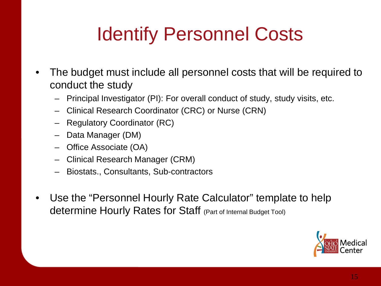# Identify Personnel Costs

- The budget must include all personnel costs that will be required to conduct the study
	- Principal Investigator (PI): For overall conduct of study, study visits, etc.
	- Clinical Research Coordinator (CRC) or Nurse (CRN)
	- Regulatory Coordinator (RC)
	- Data Manager (DM)
	- Office Associate (OA)
	- Clinical Research Manager (CRM)
	- Biostats., Consultants, Sub-contractors
- Use the "Personnel Hourly Rate Calculator" template to help determine Hourly Rates for Staff (Part of Internal Budget Tool)

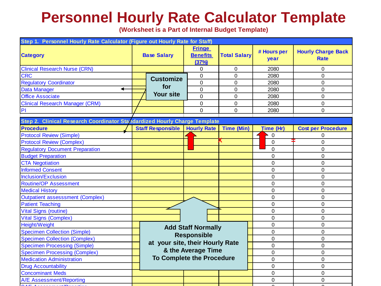#### **Personnel Hourly Rate Calculator Template**

**(Worksheet is a Part of Internal Budget Template)**

| Step 1. Personnel Hourly Rate Calculator (Figure out Hourly Rate for Staff) |                                 |                                           |                     |                             |                                          |
|-----------------------------------------------------------------------------|---------------------------------|-------------------------------------------|---------------------|-----------------------------|------------------------------------------|
| <b>Category</b>                                                             | <b>Base Salary</b>              | <b>Fringe</b><br><b>Benefits</b><br>(37%) | <b>Total Salary</b> | # Hours per<br>year         | <b>Hourly Charge Back</b><br><b>Rate</b> |
| <b>Clinical Research Nurse (CRN)</b>                                        |                                 | 0                                         | 0                   | 2080                        | 0                                        |
| <b>CRC</b>                                                                  | <b>Customize</b>                | $\Omega$                                  | $\Omega$            | 2080                        | 0                                        |
| <b>Regulatory Coordinator</b>                                               |                                 | $\mathbf 0$                               | $\mathbf 0$         | 2080                        | 0                                        |
| Data Manager<br>↞                                                           | for                             | $\mathbf 0$                               | $\Omega$            | 2080                        | 0                                        |
| Office Associate                                                            | <b>Your site</b>                | $\Omega$                                  | $\Omega$            | 2080                        | 0                                        |
| <b>Clinical Research Manager (CRM)</b>                                      |                                 | $\Omega$                                  | $\overline{0}$      | 2080                        | 0                                        |
| $\overline{P}$                                                              |                                 | $\Omega$                                  | $\Omega$            | 2080                        | 0                                        |
| Step 2. Clinical Research Coordinator Standardized Hourly Charge Template   |                                 |                                           |                     |                             |                                          |
| <b>Procedure</b>                                                            |                                 |                                           |                     |                             |                                          |
|                                                                             | <b>Staff Responsible</b>        | <b>Hourly Rate</b>                        | <b>Time (Min)</b>   | Time (Hr)<br>$\overline{0}$ | <b>Cost per Procedure</b>                |
| <b>Protocol Review (Simple)</b><br><b>Protocol Review (Complex)</b>         |                                 |                                           |                     | $\Omega$                    | 0<br>0                                   |
| <b>Regulatory Document Preparation</b>                                      |                                 |                                           |                     | $\Omega$                    | 0                                        |
| <b>Budget Preparation</b>                                                   |                                 |                                           |                     | $\Omega$                    | 0                                        |
| <b>CTA Negotiation</b>                                                      |                                 |                                           |                     | 0                           | 0                                        |
| <b>Informed Consent</b>                                                     |                                 |                                           |                     | $\Omega$                    | 0                                        |
| <b>Inclusion/Exclusion</b>                                                  |                                 |                                           |                     | $\Omega$                    | 0                                        |
| <b>Routine/OP Assessment</b>                                                |                                 |                                           |                     | 0                           | 0                                        |
| <b>Medical History</b>                                                      |                                 |                                           |                     | 0                           | 0                                        |
| <b>Outpatient assesssment (Complex)</b>                                     |                                 |                                           |                     | 0                           | 0                                        |
| <b>Patient Teaching</b>                                                     |                                 |                                           |                     | 0                           | 0                                        |
| <b>Vital Signs (routine)</b>                                                |                                 |                                           |                     | 0                           | 0                                        |
| Vital Signs (Complex)                                                       |                                 |                                           |                     | $\overline{0}$              | 0                                        |
| Height/Weight                                                               |                                 |                                           |                     | 0                           | 0                                        |
| <b>Specimen Collection (Simple)</b>                                         |                                 | <b>Add Staff Normally</b>                 |                     | 0                           | 0                                        |
| <b>Specimen Collection (Complex)</b>                                        |                                 | <b>Responsible</b>                        |                     | 0                           | 0                                        |
| <b>Specimen Processing (Simple)</b>                                         | at your site, their Hourly Rate |                                           |                     | $\Omega$                    | 0                                        |
| <b>Specimen Processing (Complex)</b>                                        |                                 | & the Average Time                        |                     | 0                           | 0                                        |
| Medication Administration                                                   |                                 | <b>To Complete the Procedure</b>          |                     | $\overline{0}$              | 0                                        |
| <b>Drug Accountability</b>                                                  |                                 |                                           |                     | 0                           | 0                                        |
| <b>Concominant Meds</b>                                                     |                                 |                                           |                     | $\overline{0}$              | $\mathbf 0$                              |
| A/E Assessment/Reporting                                                    |                                 |                                           |                     | $\Omega$                    | 0                                        |
| $\sim$ $\sim$ $\sim$                                                        |                                 |                                           |                     |                             |                                          |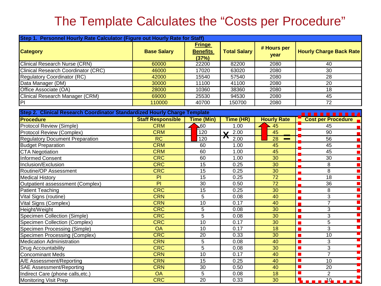#### The Template Calculates the "Costs per Procedure"

| Step 1. Personnel Hourly Rate Calculator (Figure out Hourly Rate for Staff) |                    |                                           |                     |                            |                                |
|-----------------------------------------------------------------------------|--------------------|-------------------------------------------|---------------------|----------------------------|--------------------------------|
| <b>Category</b>                                                             | <b>Base Salary</b> | <b>Fringe</b><br><b>Benefits</b><br>(37%) | <b>Total Salary</b> | # Hours per<br><b>vear</b> | <b>Hourly Charge Back Rate</b> |
| Clinical Research Nurse (CRN)                                               | 60000              | 22200                                     | 82200               | 2080                       | 40                             |
| Clinical Research Coordinator (CRC)                                         | 46000              | 17020                                     | 63020               | 2080                       | 30                             |
| Regulatory Coordinator (RC)                                                 | 42000              | 15540                                     | 57540               | 2080                       | 28                             |
| Data Manager (DM)                                                           | 30000              | 11100                                     | 41100               | 2080                       | 20                             |
| Office Associate (OA)                                                       | 28000              | 10360                                     | 38360               | 2080                       | 18                             |
| Clinical Research Manager (CRM)                                             | 69000              | 25530                                     | 94530               | 2080                       | 45                             |
| $\overline{P}$                                                              | 110000             | 40700                                     | 150700              | 2080                       | 72                             |

| Step 2. Clinical Research Coordinator Standardized Hourly Charge Template |                          |                   |                      |                    | .                         |
|---------------------------------------------------------------------------|--------------------------|-------------------|----------------------|--------------------|---------------------------|
| <b>Procedure</b>                                                          | <b>Staff Responsible</b> | <b>Time (Min)</b> | Time (HR)            | <b>Hourly Rate</b> | <b>Cost per Procedure</b> |
| Protocol Review (Simple)                                                  | <b>CRM</b>               | 60                | 1.00                 | 45                 | 45                        |
| Protocol Review (Complex)                                                 | <b>CRM</b>               | 120               | 2.00<br>$\mathbf{v}$ | 45                 | 90                        |
| <b>Regulatory Document Preparation</b>                                    | <b>RC</b>                | 120               | $\bm{\pi}$<br>2.00   | $\overline{28}$    | 56                        |
| <b>Budget Preparation</b>                                                 | <b>CRM</b>               | 60                | 1.00                 | 45                 | 45                        |
| <b>CTA Negotiation</b>                                                    | <b>CRM</b>               | 60                | 1.00                 | 45                 | 45                        |
| <b>Informed Consent</b>                                                   | <b>CRC</b>               | 60                | 1.00                 | 30                 | 30                        |
| Inclusion/Exclusion                                                       | <b>CRC</b>               | 15                | 0.25                 | 30                 | 8                         |
| Routine/OP Assessment                                                     | <b>CRC</b>               | 15                | 0.25                 | 30                 | 8                         |
| <b>Medical History</b>                                                    | PI                       | 15                | 0.25                 | 72                 | 18                        |
| Outpatient assesssment (Complex)                                          | $\overline{P}$           | 30                | 0.50                 | $\overline{72}$    | 36                        |
| Patient Teaching                                                          | <b>CRC</b>               | 15                | 0.25                 | 30                 | 8                         |
| Vital Signs (routine)                                                     | <b>CRN</b>               | 5                 | 0.08                 | 40                 | 3                         |
| Vital Signs (Complex)                                                     | <b>CRN</b>               | 10                | 0.17                 | 40                 | $\overline{7}$            |
| Height/Weight                                                             | <b>CRC</b>               | 5                 | 0.08                 | 30                 | 3                         |
| Specimen Collection (Simple)                                              | <b>CRC</b>               | $\overline{5}$    | 0.08                 | 30                 | 3                         |
| Specimen Collection (Complex)                                             | <b>CRC</b>               | 10                | 0.17                 | 30                 | 5                         |
| Specimen Processing (Simple)                                              | <b>OA</b>                | 10                | 0.17                 | 18                 | 3                         |
| Specimen Processing (Complex)                                             | <b>CRC</b>               | 20                | 0.33                 | 30                 | 10<br>$\blacksquare$      |
| <b>Medication Administration</b>                                          | <b>CRN</b>               | 5                 | 0.08                 | 40                 | 3                         |
| Drug Accountability                                                       | <b>CRC</b>               | 5                 | 0.08                 | 30                 | 3                         |
| <b>Concominant Meds</b>                                                   | <b>CRN</b>               | 10                | 0.17                 | 40                 | 7                         |
| A/E Assessment/Reporting                                                  | <b>CRN</b>               | 15                | 0.25                 | 40                 | 10                        |
| <b>SAE Assessment/Reporting</b>                                           | <b>CRN</b>               | 30                | 0.50                 | 40                 | 20                        |
| Indirect Care (phone calls, etc.)                                         | <b>OA</b>                | 5                 | 0.08                 | 18                 | $\overline{2}$            |
| <b>Monitoring Visit Prep</b>                                              | <b>CRC</b>               | 20                | 0.33                 | 30                 | <u> Transfloraci</u>      |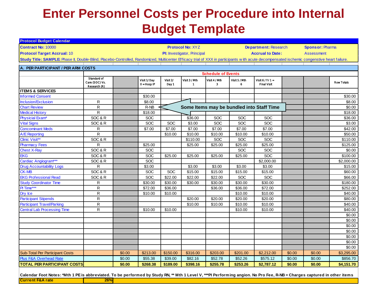#### **Enter Personnel Costs per Procedure into Internal Budget Template**

| <b>Protocol Budget Calendar</b>                                                                                                                                                             |                                               |        |                               |                           |                               |                    |                    |                                           |        |                        |                   |
|---------------------------------------------------------------------------------------------------------------------------------------------------------------------------------------------|-----------------------------------------------|--------|-------------------------------|---------------------------|-------------------------------|--------------------|--------------------|-------------------------------------------|--------|------------------------|-------------------|
| <b>Contract No: 10000</b>                                                                                                                                                                   |                                               |        |                               |                           | <b>Protocol No: XYZ</b>       |                    |                    | <b>Department: Research</b>               |        | <b>Sponsor: Pharma</b> |                   |
| <b>Protocol Target Accrual: 10</b>                                                                                                                                                          |                                               |        |                               |                           | PI: Investigator, Principal   |                    |                    | <b>Accrual to Date:</b>                   |        | <b>Assessment</b>      |                   |
| Study Title: SAMPLE: Phase II, Double-Blind, Placebo-Controlled, Randomized, Multicenter Efficacy trial of XXX in participants with acute decompensated ischemic congenstive heart failure. |                                               |        |                               |                           |                               |                    |                    |                                           |        |                        |                   |
|                                                                                                                                                                                             |                                               |        |                               |                           |                               |                    |                    |                                           |        |                        |                   |
| A. PER PARTICIPANT / PER ARM COSTS                                                                                                                                                          |                                               |        |                               |                           |                               |                    |                    |                                           |        |                        |                   |
|                                                                                                                                                                                             |                                               |        |                               | <b>Schedule of Events</b> |                               |                    |                    |                                           |        |                        |                   |
|                                                                                                                                                                                             | Standard of<br>Care (SOC) Vs.<br>Research (R) |        | Visit 1/ Day<br>$0 =$ Hosp IP | Visit $2l$<br>Day 1       | Visit 3 / Mth<br>$\mathbf{1}$ | Visit 4 / Mth<br>3 | Visit 5 / Mth<br>6 | Visit $6/$ Yr 1 =<br><b>Final Visit</b>   |        |                        | <b>Row Totals</b> |
| <b>ITEMS &amp; SERVICES</b>                                                                                                                                                                 |                                               |        |                               |                           |                               |                    |                    |                                           |        |                        |                   |
| <b>Informed Consent</b>                                                                                                                                                                     |                                               |        | \$30.00                       |                           |                               |                    |                    |                                           |        |                        | \$30.00           |
| <b>Inclusion/Exclusion</b>                                                                                                                                                                  | R                                             |        | \$8.00                        |                           |                               |                    |                    |                                           |        |                        | \$8.00            |
| <b>Chart Review</b>                                                                                                                                                                         | ${\sf R}$                                     |        | R-NB                          |                           |                               |                    |                    | Some Items may be bundled into Staff Time |        |                        | \$0.00            |
| <b>Medical History</b>                                                                                                                                                                      | R                                             |        | \$18.00                       |                           |                               |                    |                    |                                           |        |                        | \$18.00           |
| Physicial Exam <sup>*</sup>                                                                                                                                                                 | SOC & R                                       |        | SOC                           |                           | \$36.00                       | SOC                | SOC                | SOC                                       |        |                        | \$36.00           |
| <b>Vital Signs</b>                                                                                                                                                                          | SOC & R                                       |        | SOC                           | SOC                       | \$3.00                        | SOC                | SOC                | <b>SOC</b>                                |        |                        | \$3.00            |
| <b>Concominant Meds</b>                                                                                                                                                                     | R                                             |        | \$7.00                        | \$7.00                    | \$7.00                        | \$7.00             | \$7.00             | \$7.00                                    |        |                        | \$42.00           |
| <b>A/E Reporting</b>                                                                                                                                                                        | ${\sf R}$                                     |        |                               | \$10.00                   | \$10.00                       | \$10.00            | \$10.00            | \$10.00                                   |        |                        | \$50.00           |
| Clinic Visit**                                                                                                                                                                              | SOC & R                                       |        |                               |                           | \$110.00                      | SOC                | SOC                | SOC                                       |        |                        | \$110.00          |
| <b>Pharmacy Fees</b>                                                                                                                                                                        | R                                             |        | \$25.00                       |                           | \$25.00                       | \$25.00            | \$25.00            | \$25.00                                   |        |                        | \$125.00          |
| <b>Chest X-Ray</b>                                                                                                                                                                          | SOC & R                                       |        | SOC                           |                           |                               |                    | SOC                | SOC                                       |        |                        | \$0.00            |
| <b>EKG</b>                                                                                                                                                                                  | SOC & R                                       |        | SOC                           | \$25.00                   | \$25.00                       | \$25.00            | \$25.00            | SOC                                       |        |                        | \$100.00          |
| Cardiac Angiogram***                                                                                                                                                                        | SOC & R                                       |        | <b>SOC</b>                    |                           |                               |                    |                    | \$2,000.00                                |        |                        | \$2,000.00        |
| <b>Drug Accountability Logs</b>                                                                                                                                                             | $\mathsf{R}$                                  |        | \$3.00                        |                           | \$3.00                        | \$3.00             | \$3.00             | \$3.00                                    |        |                        | \$15.00           |
| <b>CK-MB</b>                                                                                                                                                                                | SOC & R                                       |        | SOC                           | SOC                       | \$15.00                       | \$15.00            | \$15.00            | \$15.00                                   |        |                        | \$60.00           |
| <b>EKG Professional Read</b>                                                                                                                                                                | SOC & R                                       |        | SOC                           | \$22.00                   | \$22.00                       | \$22.00            | SOC                | SOC                                       |        |                        | \$66.00           |
| <b>Study Coordinator Time</b>                                                                                                                                                               | $\mathsf{R}$                                  |        | \$30.00                       | \$30.00                   | \$30.00                       | \$30.00            | \$30.00            | \$30.00                                   |        |                        | \$180.00          |
| PI Time***                                                                                                                                                                                  | ${\sf R}$                                     |        | \$72.00                       | \$36.00                   |                               | \$36.00            | \$36.00            | \$72.00                                   |        |                        | \$252.00          |
| Dry Ice                                                                                                                                                                                     | $\mathsf{R}$                                  |        | \$10.00                       | \$10.00                   |                               |                    | \$10.00            | \$10.00                                   |        |                        | \$40.00           |
| <b>Participant Stipends</b>                                                                                                                                                                 | $\mathsf{R}$                                  |        |                               |                           | \$20.00                       | \$20.00            | \$20.00            | \$20.00                                   |        |                        | \$80.00           |
| <b>Participant Travel/Parking</b>                                                                                                                                                           | $\overline{R}$                                |        |                               |                           | \$10.00                       | \$10.00            | \$10.00            | \$10.00                                   |        |                        | \$40.00           |
| <b>Central Lab Processing Time</b>                                                                                                                                                          | R                                             |        | \$10.00                       | \$10.00                   |                               |                    | \$10.00            | \$10.00                                   |        |                        | \$40.00           |
|                                                                                                                                                                                             |                                               |        |                               |                           |                               |                    |                    |                                           |        |                        | \$0.00            |
|                                                                                                                                                                                             |                                               |        |                               |                           |                               |                    |                    |                                           |        |                        | \$0.00            |
|                                                                                                                                                                                             |                                               |        |                               |                           |                               |                    |                    |                                           |        |                        | \$0.00            |
|                                                                                                                                                                                             |                                               |        |                               |                           |                               |                    |                    |                                           |        |                        | \$0.00            |
|                                                                                                                                                                                             |                                               |        |                               |                           |                               |                    |                    |                                           |        |                        | \$0.00            |
|                                                                                                                                                                                             |                                               |        |                               |                           |                               |                    |                    |                                           |        |                        | \$0.00<br>\$0.00  |
|                                                                                                                                                                                             |                                               | \$0.00 |                               | \$150.00                  | \$316.00                      |                    |                    | \$2,212.00                                | \$0.00 | \$0.00                 | \$3,295.00        |
| <b>Sub-Total Per Participant Costs</b><br><b>Plus F&amp;A Overhead Rate</b>                                                                                                                 |                                               | \$0.00 | \$213.00                      |                           |                               | \$203.00           | \$201.00           |                                           |        |                        | \$856.70          |
|                                                                                                                                                                                             |                                               |        | \$55.38                       | \$39.00                   | \$82.16                       | \$52.78            | \$52.26            | \$575.12                                  | \$0.00 | \$0.00                 |                   |
| <b>TOTAL PER PARTICIPANT COSTS</b>                                                                                                                                                          |                                               | \$0.00 | \$268.38                      | \$189.00                  | \$398.16                      | \$255.78           | \$253.26           | \$2,787.12                                | \$0.00 | \$0.00                 | \$4,151.70        |
|                                                                                                                                                                                             |                                               |        |                               |                           |                               |                    |                    |                                           |        |                        |                   |
| Calendar Foot Notes: *Mth 1 PE is abbreviated. To be performed by Study RN, ** Mth 1 Level V, ***PI Performing angion. No Pro Fee, R-NB = Charges captured in other items                   |                                               |        |                               |                           |                               |                    |                    |                                           |        |                        |                   |
| <b>Current F&amp;A rate</b>                                                                                                                                                                 | 26%                                           |        |                               |                           |                               |                    |                    |                                           |        |                        |                   |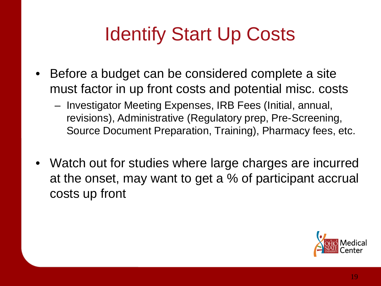# Identify Start Up Costs

- Before a budget can be considered complete a site must factor in up front costs and potential misc. costs
	- Investigator Meeting Expenses, IRB Fees (Initial, annual, revisions), Administrative (Regulatory prep, Pre-Screening, Source Document Preparation, Training), Pharmacy fees, etc.
- Watch out for studies where large charges are incurred at the onset, may want to get a % of participant accrual costs up front

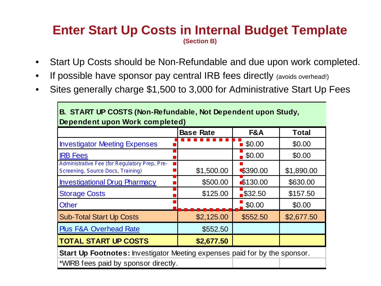#### **Enter Start Up Costs in Internal Budget Template (Section B)**

- Start Up Costs should be Non-Refundable and due upon work completed.
- If possible have sponsor pay central IRB fees directly (avoids overhead!)
- Sites generally charge \$1,500 to 3,000 for Administrative Start Up Fees

| B. START UP COSTS (Non-Refundable, Not Dependent upon Study,<br>Dependent upon Work completed) |                  |                                 |              |
|------------------------------------------------------------------------------------------------|------------------|---------------------------------|--------------|
|                                                                                                | <b>Base Rate</b> | F&A                             | <b>Total</b> |
| <b>Investigator Meeting Expenses</b>                                                           |                  | \$0.00                          | \$0.00       |
| <b>IRB Fees</b>                                                                                |                  | $\overline{\phantom{a}}$ \$0.00 | \$0.00       |
| Administrative Fee (for Regulatory Prep, Pre-<br>Screening, Source Docs, Training)             | \$1,500.00       | \$390.00                        | \$1,890.00   |
| <b>Investigational Drug Pharmacy</b>                                                           | \$500.00         | \$130.00                        | \$630.00     |
| <b>Storage Costs</b>                                                                           | \$125.00         | $-$ \$32.50                     | \$157.50     |
| <b>Other</b>                                                                                   |                  | $\frac{1}{2}$ \$0.00            | \$0.00       |
| <b>Sub-Total Start Up Costs</b>                                                                | \$2,125.00       | \$552.50                        | \$2,677.50   |
| <b>Plus F&amp;A Overhead Rate</b>                                                              | \$552.50         |                                 |              |
| <b>TOTAL START UP COSTS</b>                                                                    | \$2,677.50       |                                 |              |
| <b>Start Up Footnotes:</b> Investigator Meeting expenses paid for by the sponsor.              |                  |                                 |              |
| *WIRB fees paid by sponsor directly.                                                           |                  |                                 |              |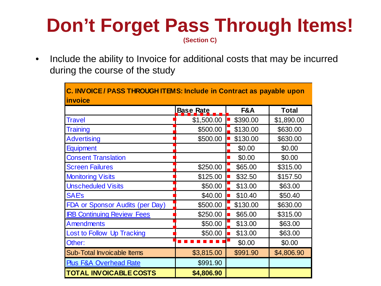### **Don't Forget Pass Through Items!**

**(Section C)**

• Include the ability to Invoice for additional costs that may be incurred during the course of the study

| C. INVOICE/ PASS THROUGH ITEMS: Include in Contract as payable upon<br>invoice |                  |          |              |
|--------------------------------------------------------------------------------|------------------|----------|--------------|
|                                                                                | <u>Base Rate</u> | F&A      | <b>Total</b> |
| <b>Travel</b>                                                                  | \$1,500.00       | \$390.00 | \$1,890.00   |
| <b>Training</b>                                                                | \$500.00         | \$130.00 | \$630.00     |
| <b>Advertising</b>                                                             | \$500.00         | \$130.00 | \$630.00     |
| Equipment                                                                      |                  | \$0.00   | \$0.00       |
| <b>Consent Translation</b>                                                     |                  | \$0.00   | \$0.00       |
| <b>Screen Failures</b>                                                         | \$250.00         | \$65.00  | \$315.00     |
| <b>Monitoring Visits</b>                                                       | \$125.00         | \$32.50  | \$157.50     |
| <b>Unscheduled Visits</b>                                                      | \$50.00          | \$13.00  | \$63.00      |
| <b>SAE's</b>                                                                   | \$40.00          | \$10.40  | \$50.40      |
| FDA or Sponsor Audits (per Day)                                                | \$500.00         | \$130.00 | \$630.00     |
| <b>IRB Continuing Review Fees</b>                                              | \$250.00         | \$65.00  | \$315.00     |
| <b>Amendments</b>                                                              | \$50.00          | \$13.00  | \$63.00      |
| Lost to Follow Up Tracking                                                     | \$50.00          | \$13.00  | \$63.00      |
| Other:                                                                         |                  | \$0.00   | \$0.00       |
| <b>Sub-Total Invoicable Items</b>                                              | \$3,815.00       | \$991.90 | \$4,806.90   |
| <b>Plus F&amp;A Overhead Rate</b>                                              | \$991.90         |          |              |
| <b>TOTAL INVOICABLE COSTS</b>                                                  | \$4,806.90       |          |              |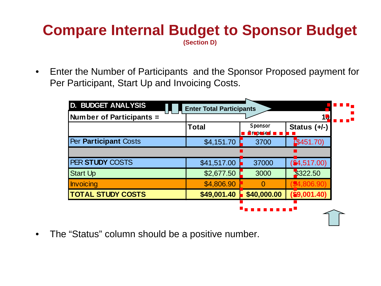#### **Compare Internal Budget to Sponsor Budget (Section D)**

• Enter the Number of Participants and the Sponsor Proposed payment for Per Participant, Start Up and Invoicing Costs.

| Number of Participants = |              |                                     | 1 <mark>J</mark>         |
|--------------------------|--------------|-------------------------------------|--------------------------|
|                          | <b>Total</b> | Sponsor<br>Proposed a a <b>ja</b> i | Status $(+/-)$           |
| Per Participant Costs    | \$4,151.70   | 3700                                | $7\frac{1}{2}451.70$     |
|                          |              |                                     |                          |
| PER STUDY COSTS          | \$41,517.00  | 37000                               | $(\overline{$4,517.00})$ |
| <b>Start Up</b>          | \$2,677.50   | 3000                                | \$322.50                 |
| <b>Invoicing</b>         | \$4,806.90   |                                     | \$4,806.90               |
| <b>TOTAL STUDY COSTS</b> | \$49,001.40  | \$40,000.00                         | (\$9,001.40)             |

• The "Status" column should be a positive number.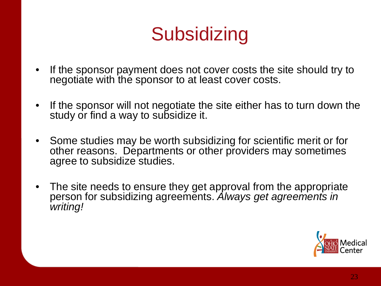# Subsidizing

- If the sponsor payment does not cover costs the site should try to negotiate with the sponsor to at least cover costs.
- If the sponsor will not negotiate the site either has to turn down the study or find a way to subsidize it.
- Some studies may be worth subsidizing for scientific merit or for other reasons. Departments or other providers may sometimes agree to subsidize studies.
- The site needs to ensure they get approval from the appropriate person for subsidizing agreements. *Always get agreements in writing!*

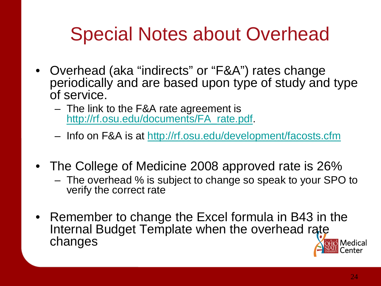### Special Notes about Overhead

- Overhead (aka "indirects" or "F&A") rates change periodically and are based upon type of study and type of service.
	- The link to the F&A rate agreement is [http://rf.osu.edu/documents/FA\\_rate.pdf.](http://rf.osu.edu/documents/FA_rate.pdf)
	- Info on F&A is at <http://rf.osu.edu/development/facosts.cfm>
- The College of Medicine 2008 approved rate is 26%
	- The overhead % is subject to change so speak to your SPO to verify the correct rate
- Remember to change the Excel formula in B43 in the Internal Budget Template when the overhead rate changes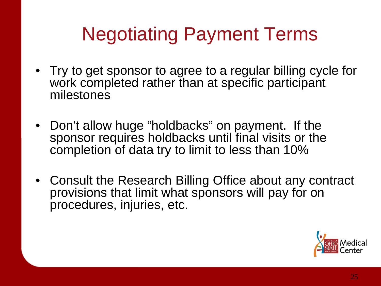# Negotiating Payment Terms

- Try to get sponsor to agree to a regular billing cycle for work completed rather than at specific participant milestones
- Don't allow huge "holdbacks" on payment. If the sponsor requires holdbacks until final visits or the completion of data try to limit to less than 10%
- Consult the Research Billing Office about any contract provisions that limit what sponsors will pay for on procedures, injuries, etc.

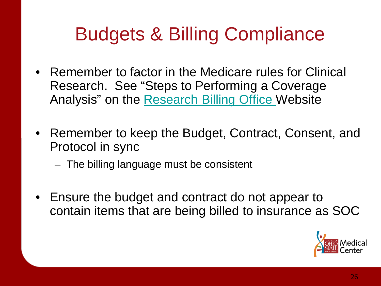# Budgets & Billing Compliance

- Remember to factor in the Medicare rules for Clinical Research. See "Steps to Performing a Coverage Analysis" on the [Research Billing Office](http://www.medctr.ohio-state.edu/Research/ResearchBilling.aspx) Website
- Remember to keep the Budget, Contract, Consent, and Protocol in sync
	- The billing language must be consistent
- Ensure the budget and contract do not appear to contain items that are being billed to insurance as SOC

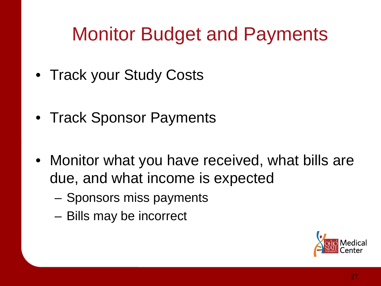### Monitor Budget and Payments

- Track your Study Costs
- Track Sponsor Payments
- Monitor what you have received, what bills are due, and what income is expected
	- Sponsors miss payments
	- Bills may be incorrect

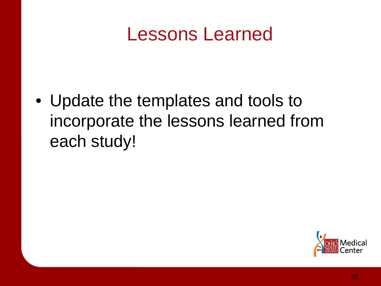### Lessons Learned

• Update the templates and tools to incorporate the lessons learned from each study!